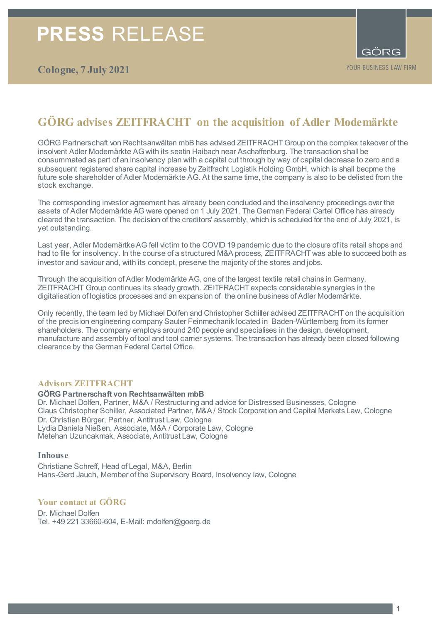# **GÖRG advises ZEITFRACHT on the acquisition of Adler Modemärkte**

GÖRG Partnerschaft von Rechtsanwälten mbB has advised ZEITFRACHT Group on the complex takeover of the insolvent Adler Modemärkte AGwith its seatin Haibach near Aschaffenburg. The transaction shall be consummated as part of an insolvency plan with a capital cut through by way of capital decrease to zero and a subsequent registered share capital increase by Zeitfracht Logistik Holding GmbH, which is shall becpme the future sole shareholder of Adler Modemärkte AG. At the same time, the company is also to be delisted from the stock exchange.

The corresponding investor agreement has already been concluded and the insolvency proceedings over the assets of Adler Modemärkte AG were opened on 1 July 2021. The German Federal Cartel Office has already cleared the transaction. The decision of the creditors' assembly, which is scheduled for the end of July 2021, is yet outstanding.

Last year, Adler Modemärtke AG fell victim to the COVID 19 pandemic due to the closure of its retail shops and had to file for insolvency. In the course of a structured M&A process, ZEITFRACHT was able to succeed both as investor and saviour and, with its concept, preserve the majority of the stores and jobs.

Through the acquisition of Adler Modemärkte AG, one of the largest textile retail chains in Germany, ZEITFRACHT Group continues its steady growth. ZEITFRACHT expects considerable synergies in the digitalisation of logistics processes and an expansion of the online business of Adler Modemärkte.

Only recently, the team led by Michael Dolfen and Christopher Schiller advised ZEITFRACHT on the acquisition of the precision engineering company Sauter Feinmechanik located in Baden-Württemberg from its former shareholders. The company employs around 240 people and specialises in the design, development, manufacture and assembly of tool and tool carrier systems. The transaction has already been closed following clearance by the German Federal Cartel Office.

### **Advisors ZEITFRACHT**

**GÖRG Partnerschaft von Rechtsanwälten mbB**

Dr. Michael Dolfen, Partner, M&A / Restructuring and advice for Distressed Businesses, Cologne Claus Christopher Schiller, Associated Partner, M&A / Stock Corporation and Capital Markets Law, Cologne Dr. Christian Bürger, Partner, Antitrust Law, Cologne Lydia Daniela Nießen, Associate, M&A / Corporate Law, Cologne Metehan Uzuncakmak, Associate, Antitrust Law, Cologne

### **Inhouse**

Christiane Schreff, Head of Legal, M&A, Berlin Hans-Gerd Jauch, Member of the Supervisory Board, Insolvency law, Cologne

# **Your contact at GÖRG**

Dr. Michael Dolfen Tel. +49 221 33660-604, E-Mail: mdolfen@goerg.de